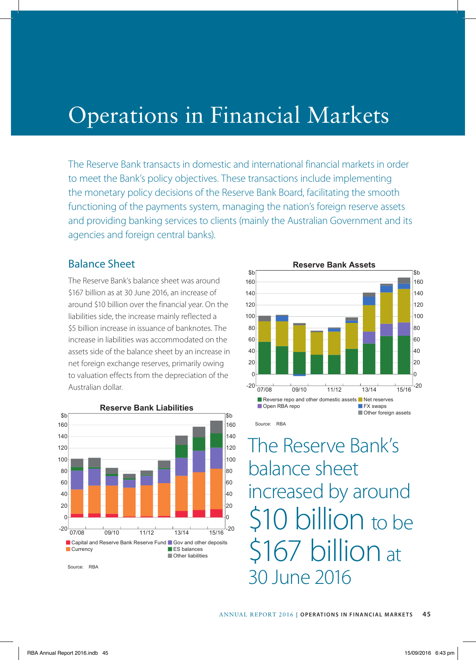## Operations in Financial Markets

The Reserve Bank transacts in domestic and international financial markets in order to meet the Bank's policy objectives. These transactions include implementing the monetary policy decisions of the Reserve Bank Board, facilitating the smooth functioning of the payments system, managing the nation's foreign reserve assets and providing banking services to clients (mainly the Australian Government and its agencies and foreign central banks).

## Balance Sheet

The Reserve Bank's balance sheet was around \$167 billion as at 30 June 2016, an increase of around \$10 billion over the financial year. On the liabilities side, the increase mainly reflected a \$5 billion increase in issuance of banknotes. The increase in liabilities was accommodated on the assets side of the balance sheet by an increase in net foreign exchange reserves, primarily owing to valuation effects from the depreciation of the Australian dollar.



Source: RBA



The Reserve Bank's balance sheet increased by around \$10 billion to be \$167 billion at 30 June 2016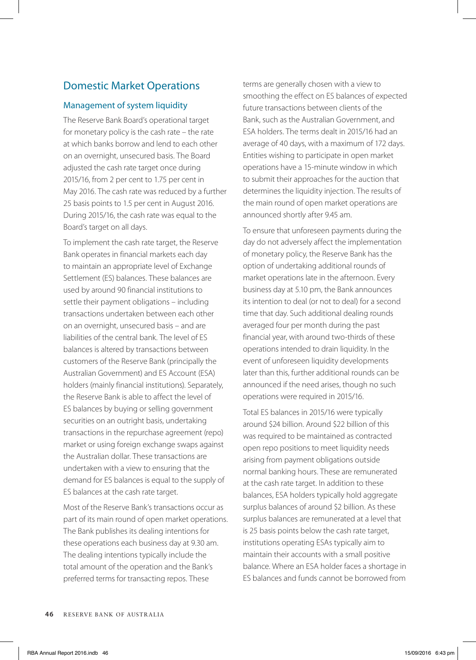## Domestic Market Operations

#### Management of system liquidity

The Reserve Bank Board's operational target for monetary policy is the cash rate – the rate at which banks borrow and lend to each other on an overnight, unsecured basis. The Board adjusted the cash rate target once during 2015/16, from 2 per cent to 1.75 per cent in May 2016. The cash rate was reduced by a further 25 basis points to 1.5 per cent in August 2016. During 2015/16, the cash rate was equal to the Board's target on all days.

To implement the cash rate target, the Reserve Bank operates in financial markets each day to maintain an appropriate level of Exchange Settlement (ES) balances. These balances are used by around 90 financial institutions to settle their payment obligations – including transactions undertaken between each other on an overnight, unsecured basis – and are liabilities of the central bank. The level of ES balances is altered by transactions between customers of the Reserve Bank (principally the Australian Government) and ES Account (ESA) holders (mainly financial institutions). Separately, the Reserve Bank is able to affect the level of ES balances by buying or selling government securities on an outright basis, undertaking transactions in the repurchase agreement (repo) market or using foreign exchange swaps against the Australian dollar. These transactions are undertaken with a view to ensuring that the demand for ES balances is equal to the supply of ES balances at the cash rate target.

Most of the Reserve Bank's transactions occur as part of its main round of open market operations. The Bank publishes its dealing intentions for these operations each business day at 9.30 am. The dealing intentions typically include the total amount of the operation and the Bank's preferred terms for transacting repos. These

terms are generally chosen with a view to smoothing the effect on ES balances of expected future transactions between clients of the Bank, such as the Australian Government, and ESA holders. The terms dealt in 2015/16 had an average of 40 days, with a maximum of 172 days. Entities wishing to participate in open market operations have a 15-minute window in which to submit their approaches for the auction that determines the liquidity injection. The results of the main round of open market operations are announced shortly after 9.45 am.

To ensure that unforeseen payments during the day do not adversely affect the implementation of monetary policy, the Reserve Bank has the option of undertaking additional rounds of market operations late in the afternoon. Every business day at 5.10 pm, the Bank announces its intention to deal (or not to deal) for a second time that day. Such additional dealing rounds averaged four per month during the past financial year, with around two-thirds of these operations intended to drain liquidity. In the event of unforeseen liquidity developments later than this, further additional rounds can be announced if the need arises, though no such operations were required in 2015/16.

Total ES balances in 2015/16 were typically around \$24 billion. Around \$22 billion of this was required to be maintained as contracted open repo positions to meet liquidity needs arising from payment obligations outside normal banking hours. These are remunerated at the cash rate target. In addition to these balances, ESA holders typically hold aggregate surplus balances of around \$2 billion. As these surplus balances are remunerated at a level that is 25 basis points below the cash rate target, institutions operating ESAs typically aim to maintain their accounts with a small positive balance. Where an ESA holder faces a shortage in ES balances and funds cannot be borrowed from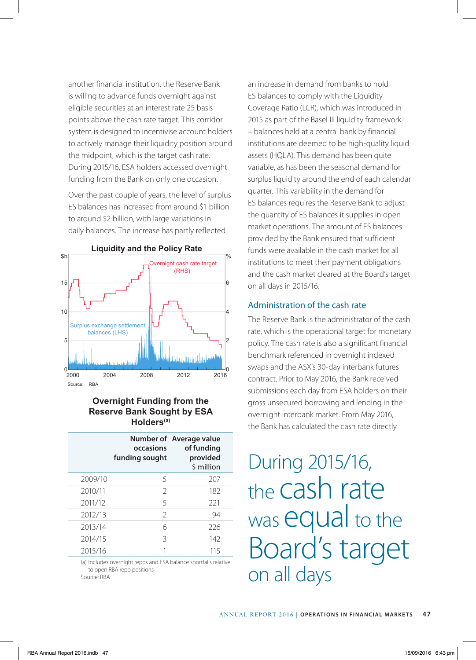another financial institution, the Reserve Bank is willing to advance funds overnight against eligible securities at an interest rate 25 basis points above the cash rate target. This corridor system is designed to incentivise account holders to actively manage their liquidity position around the midpoint, which is the target cash rate. During 2015/16, ESA holders accessed overnight funding from the Bank on only one occasion.

Over the past couple of years, the level of surplus ES balances has increased from around \$1 billion to around \$2 billion, with large variations in daily balances. The increase has partly reflected



### **Overnight Funding from the Reserve Bank Sought by ESA Holders(a)**

|         | occasions<br>funding sought | Number of Average value<br>of funding<br>provided<br>\$ million |
|---------|-----------------------------|-----------------------------------------------------------------|
| 2009/10 | 5                           | 207                                                             |
| 2010/11 | $\overline{\phantom{0}}$    | 182                                                             |
| 2011/12 | 5                           | 221                                                             |
| 2012/13 | $\mathcal{P}$               | 94                                                              |
| 2013/14 | 6                           | 226                                                             |
| 2014/15 | Β                           | 142                                                             |
| 2015/16 |                             | 115                                                             |

(a) Includes overnight repos and ESA balance shortfalls relative to open RBA repo positions Source: RBA

an increase in demand from banks to hold ES balances to comply with the Liquidity Coverage Ratio (LCR), which was introduced in 2015 as part of the Basel III liquidity framework – balances held at a central bank by financial institutions are deemed to be high-quality liquid assets (HQLA). This demand has been quite variable, as has been the seasonal demand for surplus liquidity around the end of each calendar quarter. This variability in the demand for ES balances requires the Reserve Bank to adjust the quantity of ES balances it supplies in open market operations. The amount of ES balances provided by the Bank ensured that sufficient funds were available in the cash market for all institutions to meet their payment obligations and the cash market cleared at the Board's target on all days in 2015/16.

### Administration of the cash rate

The Reserve Bank is the administrator of the cash rate, which is the operational target for monetary policy. The cash rate is also a significant financial benchmark referenced in overnight indexed swaps and the ASX's 30-day interbank futures contract. Prior to May 2016, the Bank received submissions each day from ESA holders on their gross unsecured borrowing and lending in the overnight interbank market. From May 2016, the Bank has calculated the cash rate directly

During 2015/16, the cash rate was equal to the Board's target on all days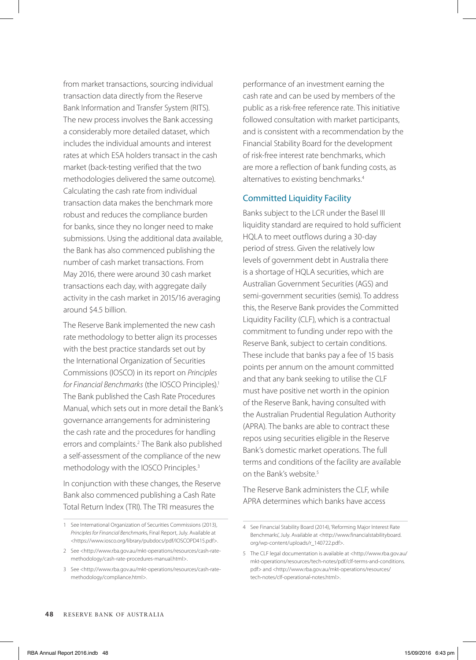from market transactions, sourcing individual transaction data directly from the Reserve Bank Information and Transfer System (RITS). The new process involves the Bank accessing a considerably more detailed dataset, which includes the individual amounts and interest rates at which ESA holders transact in the cash market (back-testing verified that the two methodologies delivered the same outcome). Calculating the cash rate from individual transaction data makes the benchmark more robust and reduces the compliance burden for banks, since they no longer need to make submissions. Using the additional data available, the Bank has also commenced publishing the number of cash market transactions. From May 2016, there were around 30 cash market transactions each day, with aggregate daily activity in the cash market in 2015/16 averaging around \$4.5 billion.

The Reserve Bank implemented the new cash rate methodology to better align its processes with the best practice standards set out by the International Organization of Securities Commissions (IOSCO) in its report on *Principles*  for Financial Benchmarks (the IOSCO Principles).<sup>1</sup> The Bank published the Cash Rate Procedures Manual, which sets out in more detail the Bank's governance arrangements for administering the cash rate and the procedures for handling errors and complaints.2 The Bank also published a self-assessment of the compliance of the new methodology with the IOSCO Principles.3

In conjunction with these changes, the Reserve Bank also commenced publishing a Cash Rate Total Return Index (TRI). The TRI measures the

performance of an investment earning the cash rate and can be used by members of the public as a risk-free reference rate. This initiative followed consultation with market participants, and is consistent with a recommendation by the Financial Stability Board for the development of risk-free interest rate benchmarks, which are more a reflection of bank funding costs, as alternatives to existing benchmarks.4

### Committed Liquidity Facility

Banks subject to the LCR under the Basel III liquidity standard are required to hold sufficient HQLA to meet outflows during a 30-day period of stress. Given the relatively low levels of government debt in Australia there is a shortage of HQLA securities, which are Australian Government Securities (AGS) and semi-government securities (semis). To address this, the Reserve Bank provides the Committed Liquidity Facility (CLF), which is a contractual commitment to funding under repo with the Reserve Bank, subject to certain conditions. These include that banks pay a fee of 15 basis points per annum on the amount committed and that any bank seeking to utilise the CLF must have positive net worth in the opinion of the Reserve Bank, having consulted with the Australian Prudential Regulation Authority (APRA). The banks are able to contract these repos using securities eligible in the Reserve Bank's domestic market operations. The full terms and conditions of the facility are available on the Bank's website.<sup>5</sup>

The Reserve Bank administers the CLF, while APRA determines which banks have access

<sup>1</sup> See International Organization of Securities Commissions (2013), *Principles for Financial Benchmark*s, Final Report, July. Available at <https://www.iosco.org/library/pubdocs/pdf/IOSCOPD415.pdf>.

<sup>2</sup> See <http://www.rba.gov.au/mkt-operations/resources/cash-ratemethodology/cash-rate-procedures-manual.html>.

<sup>3</sup> See <http://www.rba.gov.au/mkt-operations/resources/cash-ratemethodology/compliance.html>.

<sup>4</sup> See Financial Stability Board (2014), 'Reforming Major Interest Rate Benchmarks', July. Available at <http://www.financialstabilityboard. org/wp-content/uploads/r\_140722.pdf>.

<sup>5</sup> The CLF legal documentation is available at <http://www.rba.gov.au/ mkt-operations/resources/tech-notes/pdf/clf-terms-and-conditions. pdf> and <http://www.rba.gov.au/mkt-operations/resources/ tech-notes/clf-operational-notes.html>.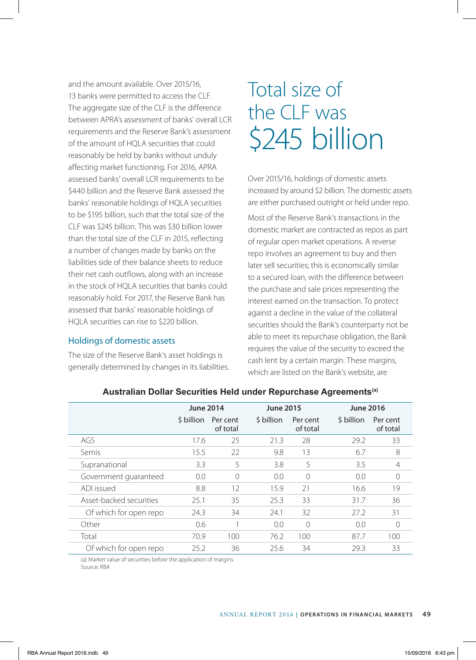and the amount available. Over 2015/16, 13 banks were permitted to access the CLE. The aggregate size of the CLF is the difference between APRA's assessment of banks' overall LCR requirements and the Reserve Bank's assessment of the amount of HQLA securities that could reasonably be held by banks without unduly affecting market functioning. For 2016, APRA assessed banks' overall LCR requirements to be \$440 billion and the Reserve Bank assessed the banks' reasonable holdings of HQLA securities to be \$195 billion, such that the total size of the CLF was \$245 billion. This was \$30 billion lower than the total size of the CLF in 2015, reflecting a number of changes made by banks on the liabilities side of their balance sheets to reduce their net cash outflows, along with an increase in the stock of HQLA securities that banks could reasonably hold. For 2017, the Reserve Bank has assessed that banks' reasonable holdings of HQLA securities can rise to \$220 billion.

### Holdings of domestic assets

The size of the Reserve Bank's asset holdings is generally determined by changes in its liabilities.

# Total size of the CLF was \$245 billion

Over 2015/16, holdings of domestic assets increased by around \$2 billion. The domestic assets are either purchased outright or held under repo.

Most of the Reserve Bank's transactions in the domestic market are contracted as repos as part of regular open market operations. A reverse repo involves an agreement to buy and then later sell securities; this is economically similar to a secured loan, with the difference between the purchase and sale prices representing the interest earned on the transaction. To protect against a decline in the value of the collateral securities should the Bank's counterparty not be able to meet its repurchase obligation, the Bank requires the value of the security to exceed the cash lent by a certain margin. These margins, which are listed on the Bank's website, are

|                         | <b>June 2014</b> |                      | <b>June 2015</b> |                      | <b>June 2016</b> |                      |
|-------------------------|------------------|----------------------|------------------|----------------------|------------------|----------------------|
|                         | \$ billion       | Per cent<br>of total | \$ billion       | Per cent<br>of total | \$ billion       | Per cent<br>of total |
| AGS                     | 17.6             | 25                   | 21.3             | 28                   | 29.2             | 33                   |
| Semis                   | 15.5             | 22                   | 9.8              | 13                   | 6.7              | 8                    |
| Supranational           | 3.3              | 5                    | 3.8              | 5                    | 3.5              | $\overline{4}$       |
| Government quaranteed   | 0.0              | $\Omega$             | 0.0              | $\Omega$             | 0.0              | $\bigcap$            |
| ADI issued              | 8.8              | 12                   | 15.9             | 21                   | 16.6             | 19                   |
| Asset-backed securities | 25.1             | 35                   | 25.3             | 33                   | 31.7             | 36                   |
| Of which for open repo  | 24.3             | 34                   | 24.1             | 32                   | 27.2             | 31                   |
| Other                   | 0.6              |                      | 0.0              | $\Omega$             | 0.0              | 0                    |
| Total                   | 70.9             | 100                  | 76.2             | 100                  | 87.7             | 100                  |
| Of which for open repo  | 25.2             | 36                   | 25.6             | 34                   | 29.3             | 33                   |

### **Australian Dollar Securities Held under Repurchase Agreements(a)**

(a) Market value of securities before the application of margins Source: RBA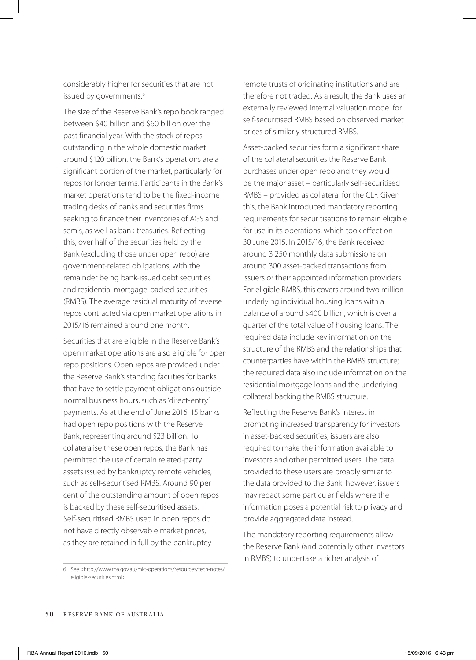considerably higher for securities that are not issued by governments.<sup>6</sup>

The size of the Reserve Bank's repo book ranged between \$40 billion and \$60 billion over the past financial year. With the stock of repos outstanding in the whole domestic market around \$120 billion, the Bank's operations are a significant portion of the market, particularly for repos for longer terms. Participants in the Bank's market operations tend to be the fixed-income trading desks of banks and securities firms seeking to finance their inventories of AGS and semis, as well as bank treasuries. Reflecting this, over half of the securities held by the Bank (excluding those under open repo) are government-related obligations, with the remainder being bank-issued debt securities and residential mortgage-backed securities (RMBS). The average residual maturity of reverse repos contracted via open market operations in 2015/16 remained around one month.

Securities that are eligible in the Reserve Bank's open market operations are also eligible for open repo positions. Open repos are provided under the Reserve Bank's standing facilities for banks that have to settle payment obligations outside normal business hours, such as 'direct-entry' payments. As at the end of June 2016, 15 banks had open repo positions with the Reserve Bank, representing around \$23 billion. To collateralise these open repos, the Bank has permitted the use of certain related-party assets issued by bankruptcy remote vehicles, such as self-securitised RMBS. Around 90 per cent of the outstanding amount of open repos is backed by these self-securitised assets. Self-securitised RMBS used in open repos do not have directly observable market prices, as they are retained in full by the bankruptcy

6 See <http://www.rba.gov.au/mkt-operations/resources/tech-notes/ eligible-securities.html>.

remote trusts of originating institutions and are therefore not traded. As a result, the Bank uses an externally reviewed internal valuation model for self-securitised RMBS based on observed market prices of similarly structured RMBS.

Asset-backed securities form a significant share of the collateral securities the Reserve Bank purchases under open repo and they would be the major asset – particularly self-securitised RMBS – provided as collateral for the CLF. Given this, the Bank introduced mandatory reporting requirements for securitisations to remain eligible for use in its operations, which took effect on 30 June 2015. In 2015/16, the Bank received around 3 250 monthly data submissions on around 300 asset-backed transactions from issuers or their appointed information providers. For eligible RMBS, this covers around two million underlying individual housing loans with a balance of around \$400 billion, which is over a quarter of the total value of housing loans. The required data include key information on the structure of the RMBS and the relationships that counterparties have within the RMBS structure; the required data also include information on the residential mortgage loans and the underlying collateral backing the RMBS structure.

Reflecting the Reserve Bank's interest in promoting increased transparency for investors in asset-backed securities, issuers are also required to make the information available to investors and other permitted users. The data provided to these users are broadly similar to the data provided to the Bank; however, issuers may redact some particular fields where the information poses a potential risk to privacy and provide aggregated data instead.

The mandatory reporting requirements allow the Reserve Bank (and potentially other investors in RMBS) to undertake a richer analysis of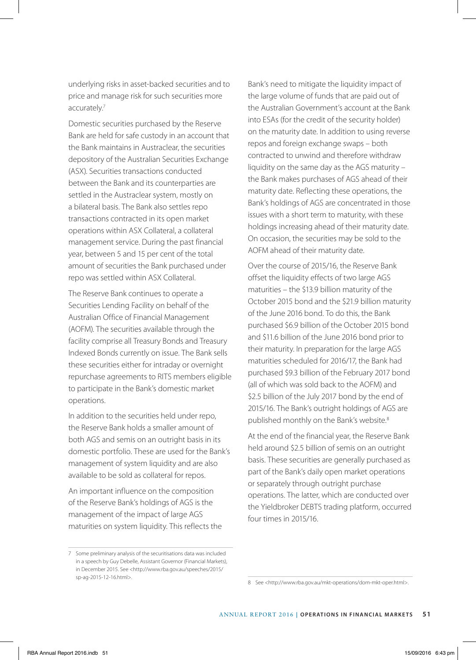underlying risks in asset-backed securities and to price and manage risk for such securities more accurately.7

Domestic securities purchased by the Reserve Bank are held for safe custody in an account that the Bank maintains in Austraclear, the securities depository of the Australian Securities Exchange (ASX). Securities transactions conducted between the Bank and its counterparties are settled in the Austraclear system, mostly on a bilateral basis. The Bank also settles repo transactions contracted in its open market operations within ASX Collateral, a collateral management service. During the past financial year, between 5 and 15 per cent of the total amount of securities the Bank purchased under repo was settled within ASX Collateral.

The Reserve Bank continues to operate a Securities Lending Facility on behalf of the Australian Office of Financial Management (AOFM). The securities available through the facility comprise all Treasury Bonds and Treasury Indexed Bonds currently on issue. The Bank sells these securities either for intraday or overnight repurchase agreements to RITS members eligible to participate in the Bank's domestic market operations.

In addition to the securities held under repo, the Reserve Bank holds a smaller amount of both AGS and semis on an outright basis in its domestic portfolio. These are used for the Bank's management of system liquidity and are also available to be sold as collateral for repos.

An important influence on the composition of the Reserve Bank's holdings of AGS is the management of the impact of large AGS maturities on system liquidity. This reflects the

7 Some preliminary analysis of the securitisations data was included in a speech by Guy Debelle, Assistant Governor (Financial Markets), in December 2015. See <http://www.rba.gov.au/speeches/2015/ sp-ag-2015-12-16.html>.

Bank's need to mitigate the liquidity impact of the large volume of funds that are paid out of the Australian Government's account at the Bank into ESAs (for the credit of the security holder) on the maturity date. In addition to using reverse repos and foreign exchange swaps – both contracted to unwind and therefore withdraw liquidity on the same day as the AGS maturity – the Bank makes purchases of AGS ahead of their maturity date. Reflecting these operations, the Bank's holdings of AGS are concentrated in those issues with a short term to maturity, with these holdings increasing ahead of their maturity date. On occasion, the securities may be sold to the AOFM ahead of their maturity date.

Over the course of 2015/16, the Reserve Bank offset the liquidity effects of two large AGS maturities – the \$13.9 billion maturity of the October 2015 bond and the \$21.9 billion maturity of the June 2016 bond. To do this, the Bank purchased \$6.9 billion of the October 2015 bond and \$11.6 billion of the June 2016 bond prior to their maturity. In preparation for the large AGS maturities scheduled for 2016/17, the Bank had purchased \$9.3 billion of the February 2017 bond (all of which was sold back to the AOFM) and \$2.5 billion of the July 2017 bond by the end of 2015/16. The Bank's outright holdings of AGS are published monthly on the Bank's website.<sup>8</sup>

At the end of the financial year, the Reserve Bank held around \$2.5 billion of semis on an outright basis. These securities are generally purchased as part of the Bank's daily open market operations or separately through outright purchase operations. The latter, which are conducted over the Yieldbroker DEBTS trading platform, occurred four times in 2015/16.

<sup>8</sup> See <http://www.rba.gov.au/mkt-operations/dom-mkt-oper.html>.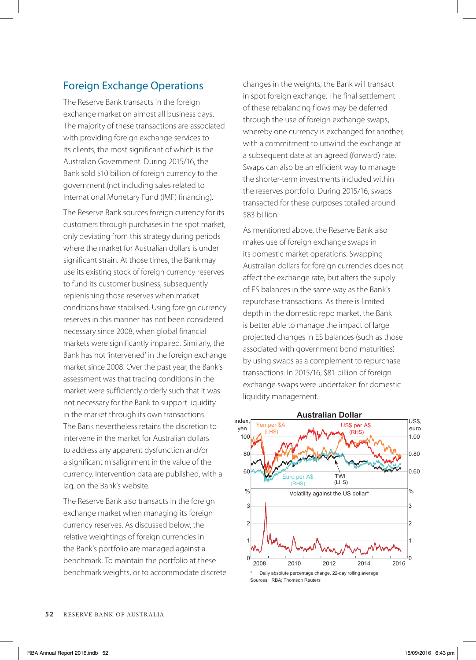## Foreign Exchange Operations

The Reserve Bank transacts in the foreign exchange market on almost all business days. The majority of these transactions are associated with providing foreign exchange services to its clients, the most significant of which is the Australian Government. During 2015/16, the Bank sold \$10 billion of foreign currency to the government (not including sales related to International Monetary Fund (IMF) financing).

The Reserve Bank sources foreign currency for its customers through purchases in the spot market, only deviating from this strategy during periods where the market for Australian dollars is under significant strain. At those times, the Bank may use its existing stock of foreign currency reserves to fund its customer business, subsequently replenishing those reserves when market conditions have stabilised. Using foreign currency reserves in this manner has not been considered necessary since 2008, when global financial markets were significantly impaired. Similarly, the Bank has not 'intervened' in the foreign exchange market since 2008. Over the past year, the Bank's assessment was that trading conditions in the market were sufficiently orderly such that it was not necessary for the Bank to support liquidity in the market through its own transactions. The Bank nevertheless retains the discretion to intervene in the market for Australian dollars to address any apparent dysfunction and/or a significant misalignment in the value of the currency. Intervention data are published, with a lag, on the Bank's website.

The Reserve Bank also transacts in the foreign exchange market when managing its foreign currency reserves. As discussed below, the relative weightings of foreign currencies in the Bank's portfolio are managed against a benchmark. To maintain the portfolio at these benchmark weights, or to accommodate discrete changes in the weights, the Bank will transact in spot foreign exchange. The final settlement of these rebalancing flows may be deferred through the use of foreign exchange swaps, whereby one currency is exchanged for another, with a commitment to unwind the exchange at a subsequent date at an agreed (forward) rate. Swaps can also be an efficient way to manage the shorter-term investments included within the reserves portfolio. During 2015/16, swaps transacted for these purposes totalled around \$83 billion.

As mentioned above, the Reserve Bank also makes use of foreign exchange swaps in its domestic market operations. Swapping Australian dollars for foreign currencies does not affect the exchange rate, but alters the supply of ES balances in the same way as the Bank's repurchase transactions. As there is limited depth in the domestic repo market, the Bank is better able to manage the impact of large projected changes in ES balances (such as those associated with government bond maturities) by using swaps as a complement to repurchase transactions. In 2015/16, \$81 billion of foreign exchange swaps were undertaken for domestic liquidity management.

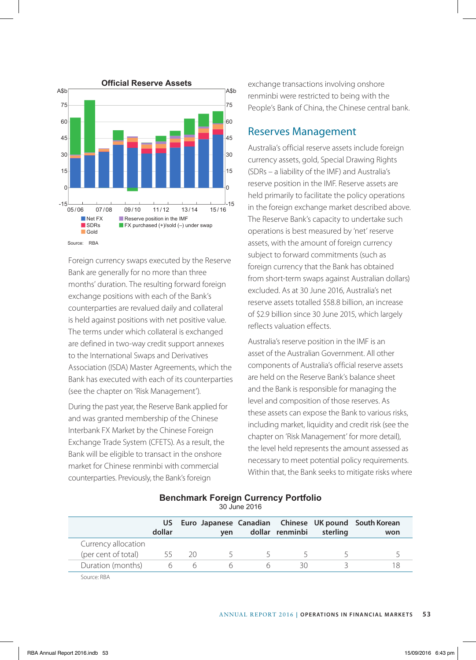

Foreign currency swaps executed by the Reserve Bank are generally for no more than three months' duration. The resulting forward foreign exchange positions with each of the Bank's counterparties are revalued daily and collateral is held against positions with net positive value. The terms under which collateral is exchanged are defined in two-way credit support annexes to the International Swaps and Derivatives Association (ISDA) Master Agreements, which the Bank has executed with each of its counterparties (see the chapter on 'Risk Management').

During the past year, the Reserve Bank applied for and was granted membership of the Chinese Interbank FX Market by the Chinese Foreign Exchange Trade System (CFETS). As a result, the Bank will be eligible to transact in the onshore market for Chinese renminbi with commercial counterparties. Previously, the Bank's foreign

exchange transactions involving onshore renminbi were restricted to being with the People's Bank of China, the Chinese central bank.

### Reserves Management

Australia's official reserve assets include foreign currency assets, gold, Special Drawing Rights (SDRs – a liability of the IMF) and Australia's reserve position in the IMF. Reserve assets are held primarily to facilitate the policy operations in the foreign exchange market described above. The Reserve Bank's capacity to undertake such operations is best measured by 'net' reserve assets, with the amount of foreign currency subject to forward commitments (such as foreign currency that the Bank has obtained from short-term swaps against Australian dollars) excluded. As at 30 June 2016, Australia's net reserve assets totalled \$58.8 billion, an increase of \$2.9 billion since 30 June 2015, which largely reflects valuation effects.

Australia's reserve position in the IMF is an asset of the Australian Government. All other components of Australia's official reserve assets are held on the Reserve Bank's balance sheet and the Bank is responsible for managing the level and composition of those reserves. As these assets can expose the Bank to various risks, including market, liquidity and credit risk (see the chapter on 'Risk Management' for more detail), the level held represents the amount assessed as necessary to meet potential policy requirements. Within that, the Bank seeks to mitigate risks where

| $00$ valle $2010$   |               |     |        |        |                 |          |                                                             |  |
|---------------------|---------------|-----|--------|--------|-----------------|----------|-------------------------------------------------------------|--|
|                     | US.<br>dollar |     | ven    |        | dollar renminbi | sterling | Euro Japanese Canadian Chinese UK pound South Korean<br>won |  |
| Currency allocation |               |     |        |        |                 |          |                                                             |  |
| (per cent of total) | 55            | -20 | $\sim$ | $\sim$ |                 |          |                                                             |  |
| Duration (months)   | h             | h   | h      | h      | 30              |          |                                                             |  |
| Source: RBA         |               |     |        |        |                 |          |                                                             |  |

### **Benchmark Foreign Currency Portfolio**

30 June 2016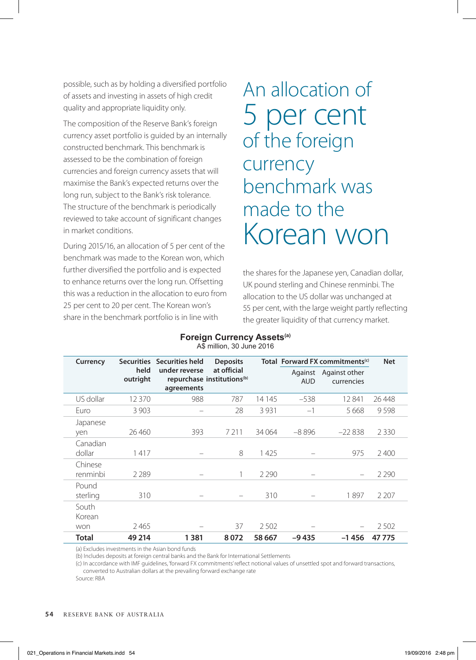possible, such as by holding a diversified portfolio of assets and investing in assets of high credit quality and appropriate liquidity only.

The composition of the Reserve Bank's foreign currency asset portfolio is guided by an internally constructed benchmark. This benchmark is assessed to be the combination of foreign currencies and foreign currency assets that will maximise the Bank's expected returns over the long run, subject to the Bank's risk tolerance. The structure of the benchmark is periodically reviewed to take account of significant changes in market conditions.

During 2015/16, an allocation of 5 per cent of the benchmark was made to the Korean won, which further diversified the portfolio and is expected to enhance returns over the long run. Offsetting this was a reduction in the allocation to euro from 25 per cent to 20 per cent. The Korean won's share in the benchmark portfolio is in line with

An allocation of 5 per cent of the foreign currency benchmark was made to the Korean won

the shares for the Japanese yen, Canadian dollar, UK pound sterling and Chinese renminbi. The allocation to the US dollar was unchanged at 55 per cent, with the large weight partly reflecting the greater liquidity of that currency market.

| Foreign Currency Assets <sup>(a)</sup> |
|----------------------------------------|
| A\$ million, 30 June 2016              |

| Currency               |                  | Securities Securities held  | <b>Deposits</b>                                       |         | Total Forward FX commitments <sup>(c)</sup> | <b>Net</b>                          |         |
|------------------------|------------------|-----------------------------|-------------------------------------------------------|---------|---------------------------------------------|-------------------------------------|---------|
|                        | held<br>outright | under reverse<br>agreements | at official<br>repurchase institutions <sup>(b)</sup> |         | <b>AUD</b>                                  | Against Against other<br>currencies |         |
| US dollar              | 12 3 7 0         | 988                         | 787                                                   | 14 1 45 | $-538$                                      | 12841                               | 26 4 48 |
| Furo                   | 3 9 0 3          |                             | 28                                                    | 3931    | $-1$                                        | 5668                                | 9598    |
| Japanese<br>yen        | 26,460           | 393                         | 7 2 1 1                                               | 34 0 64 | $-8896$                                     | $-22838$                            | 2 3 3 0 |
| Canadian<br>dollar     | 1417             |                             | 8                                                     | 1425    |                                             | 975                                 | 2400    |
| Chinese<br>renminbi    | 2 2 8 9          |                             |                                                       | 2 2 9 0 |                                             |                                     | 2 2 9 0 |
| Pound<br>sterling      | 310              |                             |                                                       | 310     |                                             | 1897                                | 2 2 0 7 |
| South<br>Korean<br>won | 2465             |                             | 37                                                    | 2502    |                                             |                                     | 2502    |
| Total                  | 49 214           | 1381                        | 8072                                                  | 58 667  | $-9435$                                     | $-1456$                             | 47775   |

(a) Excludes investments in the Asian bond funds

(b) Includes deposits at foreign central banks and the Bank for International Settlements

(c) In accordance with IMF guidelines, 'forward FX commitments' reflect notional values of unsettled spot and forward transactions, converted to Australian dollars at the prevailing forward exchange rate

Source: RBA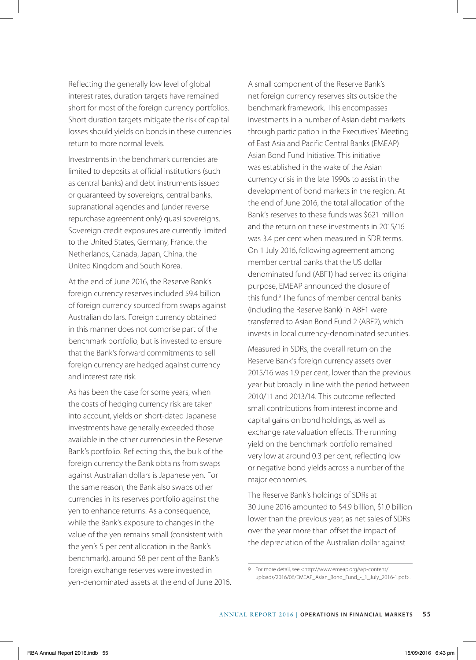Reflecting the generally low level of global interest rates, duration targets have remained short for most of the foreign currency portfolios. Short duration targets mitigate the risk of capital losses should yields on bonds in these currencies return to more normal levels.

Investments in the benchmark currencies are limited to deposits at official institutions (such as central banks) and debt instruments issued or guaranteed by sovereigns, central banks, supranational agencies and (under reverse repurchase agreement only) quasi sovereigns. Sovereign credit exposures are currently limited to the United States, Germany, France, the Netherlands, Canada, Japan, China, the United Kingdom and South Korea.

At the end of June 2016, the Reserve Bank's foreign currency reserves included \$9.4 billion of foreign currency sourced from swaps against Australian dollars. Foreign currency obtained in this manner does not comprise part of the benchmark portfolio, but is invested to ensure that the Bank's forward commitments to sell foreign currency are hedged against currency and interest rate risk.

As has been the case for some years, when the costs of hedging currency risk are taken into account, yields on short-dated Japanese investments have generally exceeded those available in the other currencies in the Reserve Bank's portfolio. Reflecting this, the bulk of the foreign currency the Bank obtains from swaps against Australian dollars is Japanese yen. For the same reason, the Bank also swaps other currencies in its reserves portfolio against the yen to enhance returns. As a consequence, while the Bank's exposure to changes in the value of the yen remains small (consistent with the yen's 5 per cent allocation in the Bank's benchmark), around 58 per cent of the Bank's foreign exchange reserves were invested in yen-denominated assets at the end of June 2016. A small component of the Reserve Bank's net foreign currency reserves sits outside the benchmark framework. This encompasses investments in a number of Asian debt markets through participation in the Executives' Meeting of East Asia and Pacific Central Banks (EMEAP) Asian Bond Fund Initiative. This initiative was established in the wake of the Asian currency crisis in the late 1990s to assist in the development of bond markets in the region. At the end of June 2016, the total allocation of the Bank's reserves to these funds was \$621 million and the return on these investments in 2015/16 was 3.4 per cent when measured in SDR terms. On 1 July 2016, following agreement among member central banks that the US dollar denominated fund (ABF1) had served its original purpose, EMEAP announced the closure of this fund.<sup>9</sup> The funds of member central banks (including the Reserve Bank) in ABF1 were transferred to Asian Bond Fund 2 (ABF2), which invests in local currency-denominated securities.

Measured in SDRs, the overall return on the Reserve Bank's foreign currency assets over 2015/16 was 1.9 per cent, lower than the previous year but broadly in line with the period between 2010/11 and 2013/14. This outcome reflected small contributions from interest income and capital gains on bond holdings, as well as exchange rate valuation effects. The running yield on the benchmark portfolio remained very low at around 0.3 per cent, reflecting low or negative bond yields across a number of the major economies.

The Reserve Bank's holdings of SDRs at 30 June 2016 amounted to \$4.9 billion, \$1.0 billion lower than the previous year, as net sales of SDRs over the year more than offset the impact of the depreciation of the Australian dollar against

9 For more detail, see <http://www.emeap.org/wp-content/ uploads/2016/06/EMEAP\_Asian\_Bond\_Fund\_-\_1\_July\_2016-1.pdf>.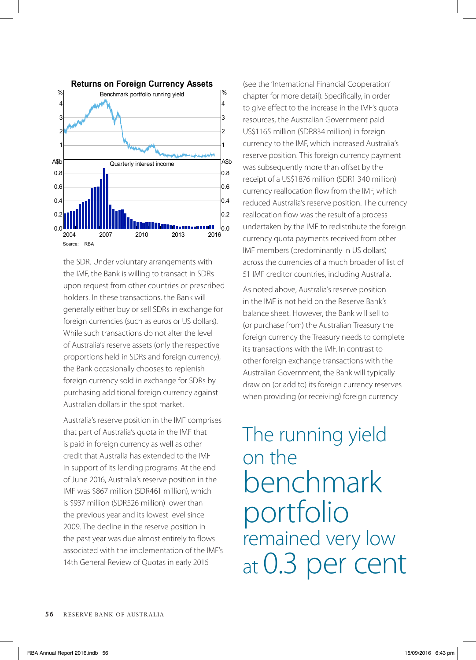

the SDR. Under voluntary arrangements with the IMF, the Bank is willing to transact in SDRs upon request from other countries or prescribed holders. In these transactions, the Bank will generally either buy or sell SDRs in exchange for foreign currencies (such as euros or US dollars). While such transactions do not alter the level of Australia's reserve assets (only the respective proportions held in SDRs and foreign currency), the Bank occasionally chooses to replenish foreign currency sold in exchange for SDRs by purchasing additional foreign currency against Australian dollars in the spot market.

Australia's reserve position in the IMF comprises that part of Australia's quota in the IMF that is paid in foreign currency as well as other credit that Australia has extended to the IMF in support of its lending programs. At the end of June 2016, Australia's reserve position in the IMF was \$867 million (SDR461 million), which is \$937 million (SDR526 million) lower than the previous year and its lowest level since 2009. The decline in the reserve position in the past year was due almost entirely to flows associated with the implementation of the IMF's 14th General Review of Quotas in early 2016

(see the 'International Financial Cooperation' chapter for more detail). Specifically, in order to give effect to the increase in the IMF's quota resources, the Australian Government paid US\$1165 million (SDR834 million) in foreign currency to the IMF, which increased Australia's reserve position. This foreign currency payment was subsequently more than offset by the receipt of a US\$1876 million (SDR1 340 million) currency reallocation flow from the IMF, which reduced Australia's reserve position. The currency reallocation flow was the result of a process undertaken by the IMF to redistribute the foreign currency quota payments received from other IMF members (predominantly in US dollars) across the currencies of a much broader of list of 51 IMF creditor countries, including Australia.

As noted above, Australia's reserve position in the IMF is not held on the Reserve Bank's balance sheet. However, the Bank will sell to (or purchase from) the Australian Treasury the foreign currency the Treasury needs to complete its transactions with the IMF. In contrast to other foreign exchange transactions with the Australian Government, the Bank will typically draw on (or add to) its foreign currency reserves when providing (or receiving) foreign currency

# The running yield on the benchmark portfolio remained very low at 0.3 per cent